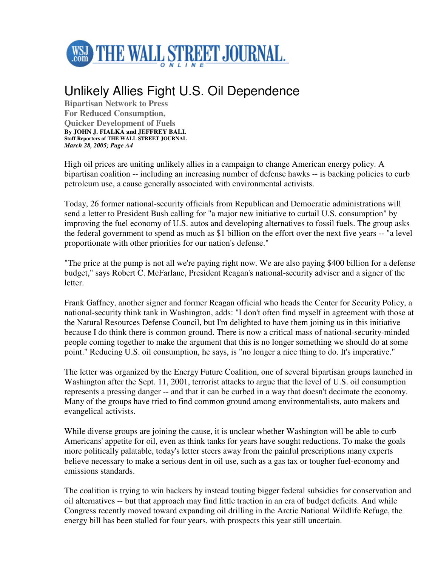

# Unlikely Allies Fight U.S. Oil Dependence

**Bipartisan Network to Press For Reduced Consumption, Quicker Development of Fuels By JOHN J. FIALKA and JEFFREY BALL Staff Reporters of THE WALL STREET JOURNAL** *March 28, 2005; Page A4*

High oil prices are uniting unlikely allies in a campaign to change American energy policy. A bipartisan coalition -- including an increasing number of defense hawks -- is backing policies to curb petroleum use, a cause generally associated with environmental activists.

Today, 26 former national-security officials from Republican and Democratic administrations will send a letter to President Bush calling for "a major new initiative to curtail U.S. consumption" by improving the fuel economy of U.S. autos and developing alternatives to fossil fuels. The group asks the federal government to spend as much as \$1 billion on the effort over the next five years -- "a level proportionate with other priorities for our nation's defense."

"The price at the pump is not all we're paying right now. We are also paying \$400 billion for a defense budget," says Robert C. McFarlane, President Reagan's national-security adviser and a signer of the letter.

Frank Gaffney, another signer and former Reagan official who heads the Center for Security Policy, a national-security think tank in Washington, adds: "I don't often find myself in agreement with those at the Natural Resources Defense Council, but I'm delighted to have them joining us in this initiative because I do think there is common ground. There is now a critical mass of national-security-minded people coming together to make the argument that this is no longer something we should do at some point." Reducing U.S. oil consumption, he says, is "no longer a nice thing to do. It's imperative."

The letter was organized by the Energy Future Coalition, one of several bipartisan groups launched in Washington after the Sept. 11, 2001, terrorist attacks to argue that the level of U.S. oil consumption represents a pressing danger -- and that it can be curbed in a way that doesn't decimate the economy. Many of the groups have tried to find common ground among environmentalists, auto makers and evangelical activists.

While diverse groups are joining the cause, it is unclear whether Washington will be able to curb Americans' appetite for oil, even as think tanks for years have sought reductions. To make the goals more politically palatable, today's letter steers away from the painful prescriptions many experts believe necessary to make a serious dent in oil use, such as a gas tax or tougher fuel-economy and emissions standards.

The coalition is trying to win backers by instead touting bigger federal subsidies for conservation and oil alternatives -- but that approach may find little traction in an era of budget deficits. And while Congress recently moved toward expanding oil drilling in the Arctic National Wildlife Refuge, the energy bill has been stalled for four years, with prospects this year still uncertain.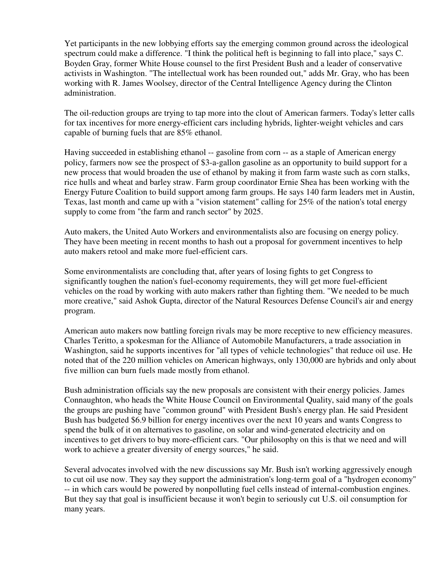Yet participants in the new lobbying efforts say the emerging common ground across the ideological spectrum could make a difference. "I think the political heft is beginning to fall into place," says C. Boyden Gray, former White House counsel to the first President Bush and a leader of conservative activists in Washington. "The intellectual work has been rounded out," adds Mr. Gray, who has been working with R. James Woolsey, director of the Central Intelligence Agency during the Clinton administration.

The oil-reduction groups are trying to tap more into the clout of American farmers. Today's letter calls for tax incentives for more energy-efficient cars including hybrids, lighter-weight vehicles and cars capable of burning fuels that are 85% ethanol.

Having succeeded in establishing ethanol -- gasoline from corn -- as a staple of American energy policy, farmers now see the prospect of \$3-a-gallon gasoline as an opportunity to build support for a new process that would broaden the use of ethanol by making it from farm waste such as corn stalks, rice hulls and wheat and barley straw. Farm group coordinator Ernie Shea has been working with the Energy Future Coalition to build support among farm groups. He says 140 farm leaders met in Austin, Texas, last month and came up with a "vision statement" calling for 25% of the nation's total energy supply to come from "the farm and ranch sector" by 2025.

Auto makers, the United Auto Workers and environmentalists also are focusing on energy policy. They have been meeting in recent months to hash out a proposal for government incentives to help auto makers retool and make more fuel-efficient cars.

Some environmentalists are concluding that, after years of losing fights to get Congress to significantly toughen the nation's fuel-economy requirements, they will get more fuel-efficient vehicles on the road by working with auto makers rather than fighting them. "We needed to be much more creative," said Ashok Gupta, director of the Natural Resources Defense Council's air and energy program.

American auto makers now battling foreign rivals may be more receptive to new efficiency measures. Charles Teritto, a spokesman for the Alliance of Automobile Manufacturers, a trade association in Washington, said he supports incentives for "all types of vehicle technologies" that reduce oil use. He noted that of the 220 million vehicles on American highways, only 130,000 are hybrids and only about five million can burn fuels made mostly from ethanol.

Bush administration officials say the new proposals are consistent with their energy policies. James Connaughton, who heads the White House Council on Environmental Quality, said many of the goals the groups are pushing have "common ground" with President Bush's energy plan. He said President Bush has budgeted \$6.9 billion for energy incentives over the next 10 years and wants Congress to spend the bulk of it on alternatives to gasoline, on solar and wind-generated electricity and on incentives to get drivers to buy more-efficient cars. "Our philosophy on this is that we need and will work to achieve a greater diversity of energy sources," he said.

Several advocates involved with the new discussions say Mr. Bush isn't working aggressively enough to cut oil use now. They say they support the administration's long-term goal of a "hydrogen economy" -- in which cars would be powered by nonpolluting fuel cells instead of internal-combustion engines. But they say that goal is insufficient because it won't begin to seriously cut U.S. oil consumption for many years.